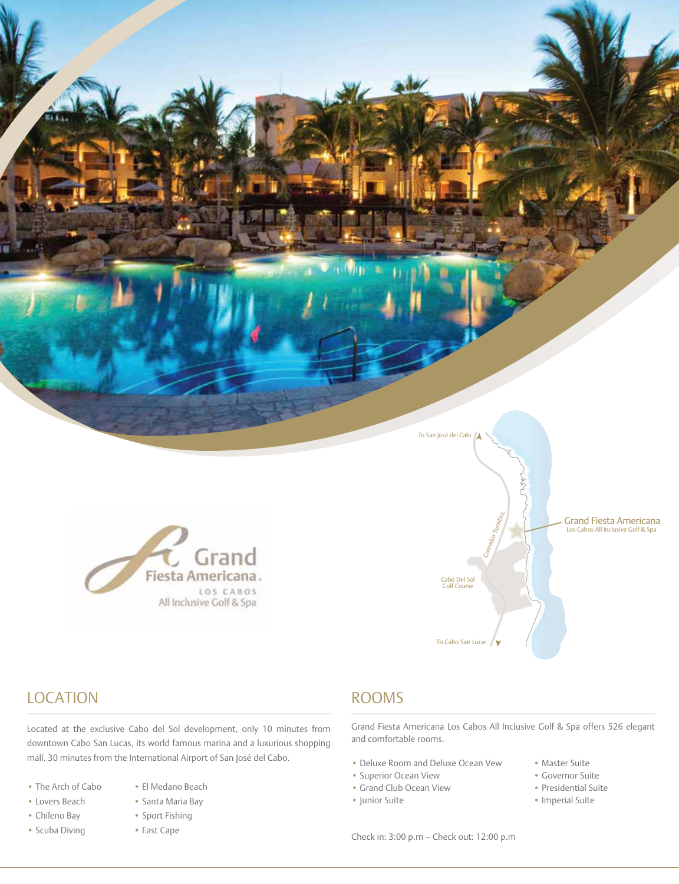



Cabo Del Sol Golf Course

To Cabo San Luca:

LOCATION

Located at the exclusive Cabo del Sol development, only 10 minutes from downtown Cabo San Lucas, its world famous marina and a luxurious shopping mall. 30 minutes from the International Airport of San José del Cabo.

- The Arch of Cabo El Medano Beach
- 
- 
- Scuba Diving East Cape
- 
- Lovers Beach Santa Maria Bay
- Chileno Bay Sport Fishing
	-

#### ROOMS

Grand Fiesta Americana Los Cabos All Inclusive Golf & Spa offers 526 elegant and comfortable rooms.

- Deluxe Room and Deluxe Ocean Vew Master Suite
- Superior Ocean View Governor Suite
- Grand Club Ocean View Presidential Suite
- Junior Suite Imperial Suite
- 
- 
- -

Check in: 3:00 p.m – Check out: 12:00 p.m